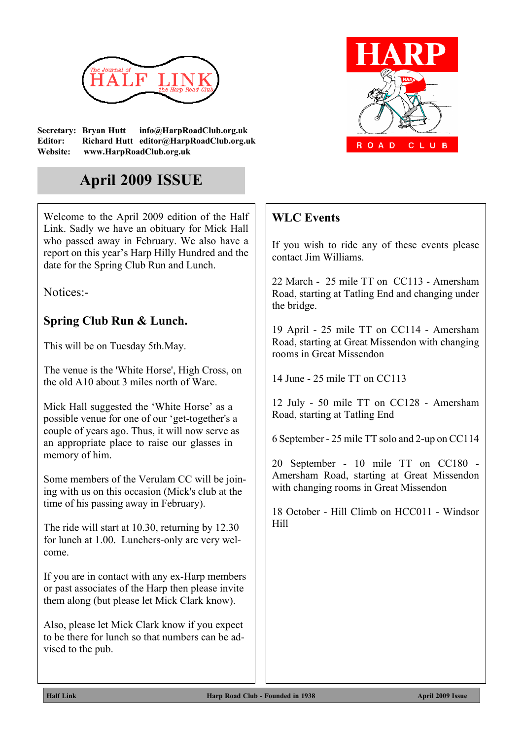

**Secretary: Bryan Hutt info@HarpRoadClub.org.uk Editor: Richard Hutt editor@HarpRoadClub.org.uk Website: www.HarpRoadClub.org.uk**

# **April 2009 ISSUE**

Welcome to the April 2009 edition of the Half Link. Sadly we have an obituary for Mick Hall who passed away in February. We also have a report on this year's Harp Hilly Hundred and the date for the Spring Club Run and Lunch.

Notices:-

### **Spring Club Run & Lunch.**

This will be on Tuesday 5th.May.

The venue is the 'White Horse', High Cross, on the old A10 about 3 miles north of Ware.

Mick Hall suggested the 'White Horse' as a possible venue for one of our 'get-together's a couple of years ago. Thus, it will now serve as an appropriate place to raise our glasses in memory of him.

Some members of the Verulam CC will be joining with us on this occasion (Mick's club at the time of his passing away in February).

The ride will start at 10.30, returning by 12.30 for lunch at 1.00. Lunchers-only are very welcome.

If you are in contact with any ex-Harp members or past associates of the Harp then please invite them along (but please let Mick Clark know).

Also, please let Mick Clark know if you expect to be there for lunch so that numbers can be advised to the pub.



## **WLC Events**

If you wish to ride any of these events please contact Jim Williams.

22 March - 25 mile TT on CC113 - Amersham Road, starting at Tatling End and changing under the bridge.

19 April - 25 mile TT on CC114 - Amersham Road, starting at Great Missendon with changing rooms in Great Missendon

14 June - 25 mile TT on CC113

12 July - 50 mile TT on CC128 - Amersham Road, starting at Tatling End

6 September - 25 mile TT solo and 2-up on CC114

20 September - 10 mile TT on CC180 - Amersham Road, starting at Great Missendon with changing rooms in Great Missendon

18 October - Hill Climb on HCC011 - Windsor Hill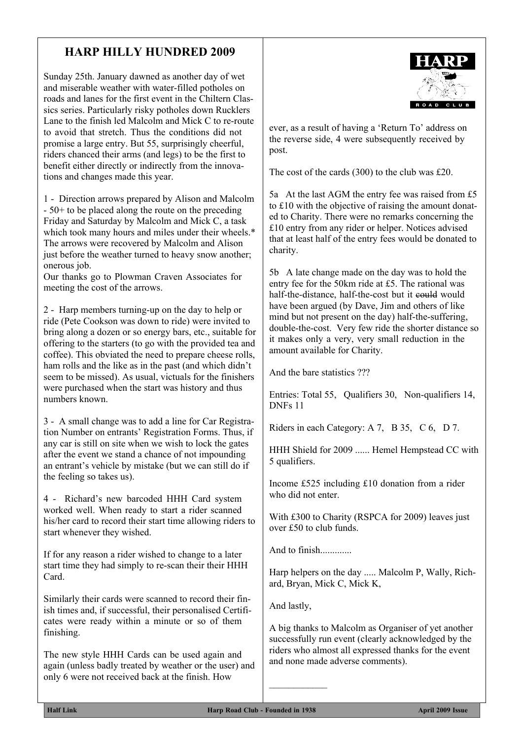### **HARP HILLY HUNDRED 2009**

Sunday 25th. January dawned as another day of wet and miserable weather with water-filled potholes on roads and lanes for the first event in the Chiltern Classics series. Particularly risky potholes down Rucklers Lane to the finish led Malcolm and Mick C to re-route to avoid that stretch. Thus the conditions did not promise a large entry. But 55, surprisingly cheerful, riders chanced their arms (and legs) to be the first to benefit either directly or indirectly from the innovations and changes made this year.

1 - Direction arrows prepared by Alison and Malcolm - 50+ to be placed along the route on the preceding Friday and Saturday by Malcolm and Mick C, a task which took many hours and miles under their wheels.<sup>\*</sup> The arrows were recovered by Malcolm and Alison just before the weather turned to heavy snow another; onerous job.

Our thanks go to Plowman Craven Associates for meeting the cost of the arrows.

2 - Harp members turning-up on the day to help or ride (Pete Cookson was down to ride) were invited to bring along a dozen or so energy bars, etc., suitable for offering to the starters (to go with the provided tea and coffee). This obviated the need to prepare cheese rolls, ham rolls and the like as in the past (and which didn't seem to be missed). As usual, victuals for the finishers were purchased when the start was history and thus numbers known.

3 - A small change was to add a line for Car Registration Number on entrants' Registration Forms. Thus, if any car is still on site when we wish to lock the gates after the event we stand a chance of not impounding an entrant's vehicle by mistake (but we can still do if the feeling so takes us).

4 - Richard's new barcoded HHH Card system worked well. When ready to start a rider scanned his/her card to record their start time allowing riders to start whenever they wished.

If for any reason a rider wished to change to a later start time they had simply to re-scan their their HHH Card.

Similarly their cards were scanned to record their finish times and, if successful, their personalised Certificates were ready within a minute or so of them finishing.

The new style HHH Cards can be used again and again (unless badly treated by weather or the user) and only 6 were not received back at the finish. How



ever, as a result of having a 'Return To' address on the reverse side, 4 were subsequently received by post.

The cost of the cards (300) to the club was £20.

5a At the last AGM the entry fee was raised from £5 to £10 with the objective of raising the amount donated to Charity. There were no remarks concerning the £10 entry from any rider or helper. Notices advised that at least half of the entry fees would be donated to charity.

5b A late change made on the day was to hold the entry fee for the 50km ride at £5. The rational was half-the-distance, half-the-cost but it could would have been argued (by Dave, Jim and others of like mind but not present on the day) half-the-suffering, double-the-cost. Very few ride the shorter distance so it makes only a very, very small reduction in the amount available for Charity.

And the bare statistics ???

Entries: Total 55, Qualifiers 30, Non-qualifiers 14, DNFs 11

Riders in each Category: A 7, B 35, C 6, D 7.

HHH Shield for 2009 ...... Hemel Hempstead CC with 5 qualifiers.

Income £525 including £10 donation from a rider who did not enter.

With £300 to Charity (RSPCA for 2009) leaves just over £50 to club funds.

And to finish.............

Harp helpers on the day ..... Malcolm P, Wally, Richard, Bryan, Mick C, Mick K,

And lastly,

 $\overline{\phantom{a}}$  , where  $\overline{\phantom{a}}$ 

A big thanks to Malcolm as Organiser of yet another successfully run event (clearly acknowledged by the riders who almost all expressed thanks for the event and none made adverse comments).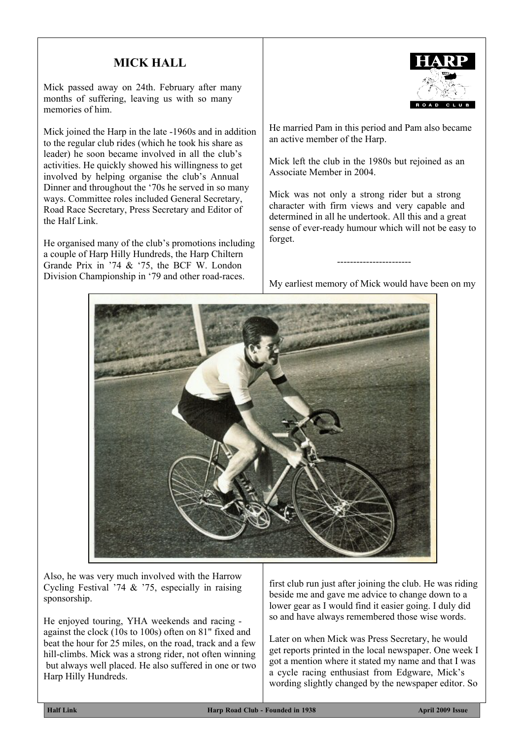#### **MICK HALL**

Mick passed away on 24th. February after many months of suffering, leaving us with so many memories of him.

Mick joined the Harp in the late -1960s and in addition to the regular club rides (which he took his share as leader) he soon became involved in all the club's activities. He quickly showed his willingness to get involved by helping organise the club's Annual Dinner and throughout the '70s he served in so many ways. Committee roles included General Secretary, Road Race Secretary, Press Secretary and Editor of the Half Link.

He organised many of the club's promotions including a couple of Harp Hilly Hundreds, the Harp Chiltern Grande Prix in '74 & '75, the BCF W. London Division Championship in '79 and other road-races.



He married Pam in this period and Pam also became an active member of the Harp.

Mick left the club in the 1980s but rejoined as an Associate Member in 2004.

Mick was not only a strong rider but a strong character with firm views and very capable and determined in all he undertook. All this and a great sense of ever-ready humour which will not be easy to forget.

My earliest memory of Mick would have been on my

-----------------------



Also, he was very much involved with the Harrow Cycling Festival '74 & '75, especially in raising sponsorship.

He enjoyed touring, YHA weekends and racing against the clock (10s to 100s) often on 81" fixed and beat the hour for 25 miles, on the road, track and a few hill-climbs. Mick was a strong rider, not often winning but always well placed. He also suffered in one or two Harp Hilly Hundreds.

first club run just after joining the club. He was riding beside me and gave me advice to change down to a lower gear as I would find it easier going. I duly did so and have always remembered those wise words.

Later on when Mick was Press Secretary, he would get reports printed in the local newspaper. One week I got a mention where it stated my name and that I was a cycle racing enthusiast from Edgware, Mick's wording slightly changed by the newspaper editor. So